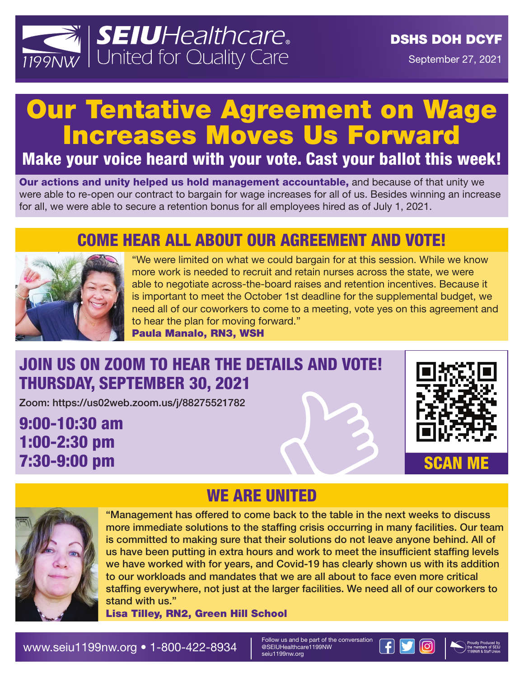

September 27, 2021

# Our Tentative Agreement on Wage Increases Moves Us Forward

Make your voice heard with your vote. Cast your ballot this week!

Our actions and unity helped us hold management accountable, and because of that unity we were able to re-open our contract to bargain for wage increases for all of us. Besides winning an increase for all, we were able to secure a retention bonus for all employees hired as of July 1, 2021.

### COME HEAR ALL ABOUT OUR AGREEMENT AND VOTE!



"We were limited on what we could bargain for at this session. While we know more work is needed to recruit and retain nurses across the state, we were able to negotiate across-the-board raises and retention incentives. Because it is important to meet the October 1st deadline for the supplemental budget, we need all of our coworkers to come to a meeting, vote yes on this agreement and to hear the plan for moving forward."

Paula Manalo, RN3, WSH

### JOIN US ON ZOOM TO HEAR THE DETAILS AND VOTE! THURSDAY, SEPTEMBER 30, 2021

Zoom: https://us02web.zoom.us/j/88275521782

9:00-10:30 am 1:00-2:30 pm 7:30-9:00 pm





# WE ARE UNITED

"Management has offered to come back to the table in the next weeks to discuss more immediate solutions to the staffing crisis occurring in many facilities. Our team is committed to making sure that their solutions do not leave anyone behind. All of us have been putting in extra hours and work to meet the insufficient staffing levels we have worked with for years, and Covid-19 has clearly shown us with its addition to our workloads and mandates that we are all about to face even more critical staffing everywhere, not just at the larger facilities. We need all of our coworkers to stand with us."

Lisa Tilley, RN2, Green Hill School

@SEIUHealthcare1199NW seiu1199nw.org